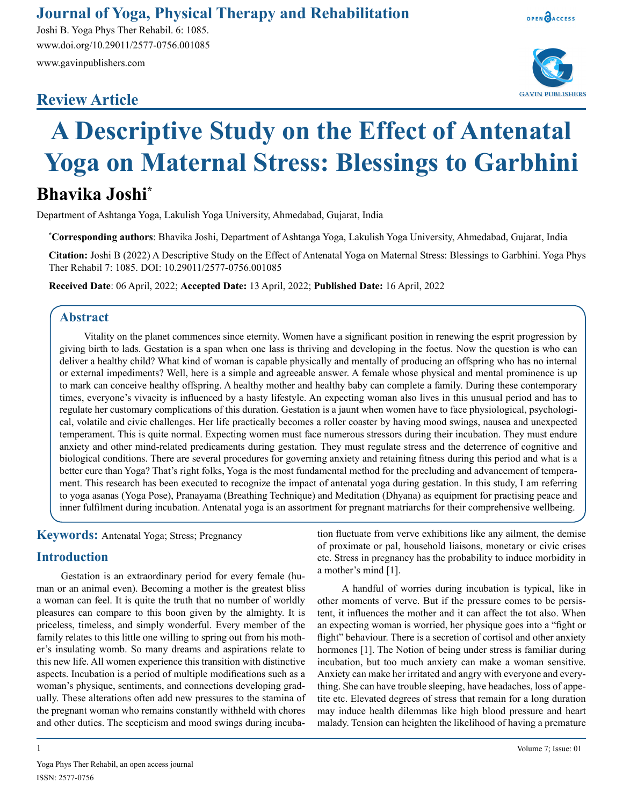# **Journal of Yoga, Physical Therapy and Rehabilitation**

Joshi B. Yoga Phys Ther Rehabil. 6: 1085. www.doi.org/10.29011/2577-0756.001085 www.gavinpublishers.com

# **Review Article**





# **A Descriptive Study on the Effect of Antenatal Yoga on Maternal Stress: Blessings to Garbhini**

# **Bhavika Joshi\***

Department of Ashtanga Yoga, Lakulish Yoga University, Ahmedabad, Gujarat, India

**\* Corresponding authors**: Bhavika Joshi, Department of Ashtanga Yoga, Lakulish Yoga University, Ahmedabad, Gujarat, India

**Citation:** Joshi B (2022) A Descriptive Study on the Effect of Antenatal Yoga on Maternal Stress: Blessings to Garbhini. Yoga Phys Ther Rehabil 7: 1085. DOI: 10.29011/2577-0756.001085

**Received Date**: 06 April, 2022; **Accepted Date:** 13 April, 2022; **Published Date:** 16 April, 2022

#### **Abstract**

Vitality on the planet commences since eternity. Women have a significant position in renewing the esprit progression by giving birth to lads. Gestation is a span when one lass is thriving and developing in the foetus. Now the question is who can deliver a healthy child? What kind of woman is capable physically and mentally of producing an offspring who has no internal or external impediments? Well, here is a simple and agreeable answer. A female whose physical and mental prominence is up to mark can conceive healthy offspring. A healthy mother and healthy baby can complete a family. During these contemporary times, everyone's vivacity is influenced by a hasty lifestyle. An expecting woman also lives in this unusual period and has to regulate her customary complications of this duration. Gestation is a jaunt when women have to face physiological, psychological, volatile and civic challenges. Her life practically becomes a roller coaster by having mood swings, nausea and unexpected temperament. This is quite normal. Expecting women must face numerous stressors during their incubation. They must endure anxiety and other mind-related predicaments during gestation. They must regulate stress and the deterrence of cognitive and biological conditions. There are several procedures for governing anxiety and retaining fitness during this period and what is a better cure than Yoga? That's right folks, Yoga is the most fundamental method for the precluding and advancement of temperament. This research has been executed to recognize the impact of antenatal yoga during gestation. In this study, I am referring to yoga asanas (Yoga Pose), Pranayama (Breathing Technique) and Meditation (Dhyana) as equipment for practising peace and inner fulfilment during incubation. Antenatal yoga is an assortment for pregnant matriarchs for their comprehensive wellbeing.

#### **Keywords:** Antenatal Yoga; Stress; Pregnancy

#### **Introduction**

Gestation is an extraordinary period for every female (human or an animal even). Becoming a mother is the greatest bliss a woman can feel. It is quite the truth that no number of worldly pleasures can compare to this boon given by the almighty. It is priceless, timeless, and simply wonderful. Every member of the family relates to this little one willing to spring out from his mother's insulating womb. So many dreams and aspirations relate to this new life. All women experience this transition with distinctive aspects. Incubation is a period of multiple modifications such as a woman's physique, sentiments, and connections developing gradually. These alterations often add new pressures to the stamina of the pregnant woman who remains constantly withheld with chores and other duties. The scepticism and mood swings during incubation fluctuate from verve exhibitions like any ailment, the demise of proximate or pal, household liaisons, monetary or civic crises etc. Stress in pregnancy has the probability to induce morbidity in a mother's mind [1].

A handful of worries during incubation is typical, like in other moments of verve. But if the pressure comes to be persistent, it influences the mother and it can affect the tot also. When an expecting woman is worried, her physique goes into a "fight or flight" behaviour. There is a secretion of cortisol and other anxiety hormones [1]. The Notion of being under stress is familiar during incubation, but too much anxiety can make a woman sensitive. Anxiety can make her irritated and angry with everyone and everything. She can have trouble sleeping, have headaches, loss of appetite etc. Elevated degrees of stress that remain for a long duration may induce health dilemmas like high blood pressure and heart malady. Tension can heighten the likelihood of having a premature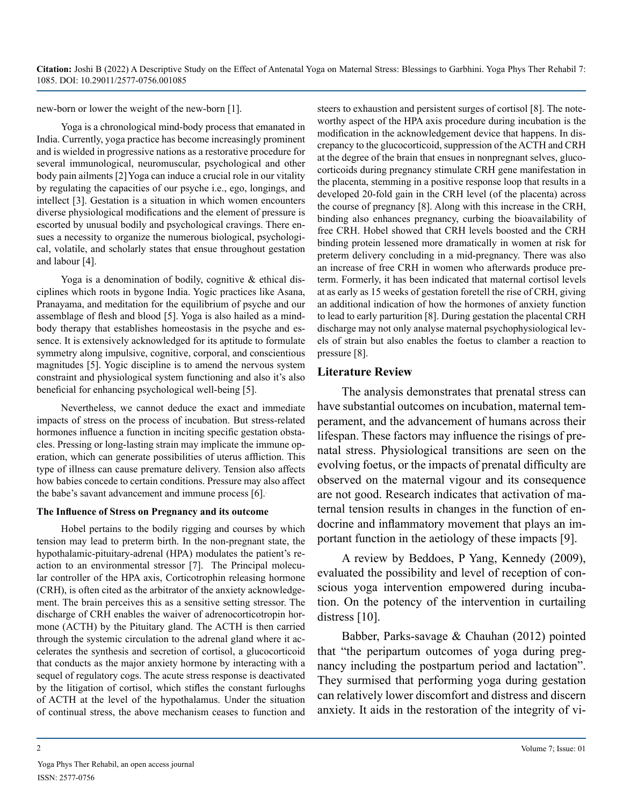new-born or lower the weight of the new-born [1].

Yoga is a chronological mind-body process that emanated in India. Currently, yoga practice has become increasingly prominent and is wielded in progressive nations as a restorative procedure for several immunological, neuromuscular, psychological and other body pain ailments [2]Yoga can induce a crucial role in our vitality by regulating the capacities of our psyche i.e., ego, longings, and intellect [3]. Gestation is a situation in which women encounters diverse physiological modifications and the element of pressure is escorted by unusual bodily and psychological cravings. There ensues a necessity to organize the numerous biological, psychological, volatile, and scholarly states that ensue throughout gestation and labour [4].

Yoga is a denomination of bodily, cognitive & ethical disciplines which roots in bygone India. Yogic practices like Asana, Pranayama, and meditation for the equilibrium of psyche and our assemblage of flesh and blood [5]. Yoga is also hailed as a mindbody therapy that establishes homeostasis in the psyche and essence. It is extensively acknowledged for its aptitude to formulate symmetry along impulsive, cognitive, corporal, and conscientious magnitudes [5]. Yogic discipline is to amend the nervous system constraint and physiological system functioning and also it's also beneficial for enhancing psychological well-being [5].

Nevertheless, we cannot deduce the exact and immediate impacts of stress on the process of incubation. But stress-related hormones influence a function in inciting specific gestation obstacles. Pressing or long-lasting strain may implicate the immune operation, which can generate possibilities of uterus affliction. This type of illness can cause premature delivery. Tension also affects how babies concede to certain conditions. Pressure may also affect the babe's savant advancement and immune process [6]..

#### **The Influence of Stress on Pregnancy and its outcome**

Hobel pertains to the bodily rigging and courses by which tension may lead to preterm birth. In the non-pregnant state, the hypothalamic-pituitary-adrenal (HPA) modulates the patient's reaction to an environmental stressor [7]. The Principal molecular controller of the HPA axis, Corticotrophin releasing hormone (CRH), is often cited as the arbitrator of the anxiety acknowledgement. The brain perceives this as a sensitive setting stressor. The discharge of CRH enables the waiver of adrenocorticotropin hormone (ACTH) by the Pituitary gland. The ACTH is then carried through the systemic circulation to the adrenal gland where it accelerates the synthesis and secretion of cortisol, a glucocorticoid that conducts as the major anxiety hormone by interacting with a sequel of regulatory cogs. The acute stress response is deactivated by the litigation of cortisol, which stifles the constant furloughs of ACTH at the level of the hypothalamus. Under the situation of continual stress, the above mechanism ceases to function and

steers to exhaustion and persistent surges of cortisol [8]. The noteworthy aspect of the HPA axis procedure during incubation is the modification in the acknowledgement device that happens. In discrepancy to the glucocorticoid, suppression of the ACTH and CRH at the degree of the brain that ensues in nonpregnant selves, glucocorticoids during pregnancy stimulate CRH gene manifestation in the placenta, stemming in a positive response loop that results in a developed 20-fold gain in the CRH level (of the placenta) across the course of pregnancy [8]. Along with this increase in the CRH, binding also enhances pregnancy, curbing the bioavailability of free CRH. Hobel showed that CRH levels boosted and the CRH binding protein lessened more dramatically in women at risk for preterm delivery concluding in a mid-pregnancy. There was also an increase of free CRH in women who afterwards produce preterm. Formerly, it has been indicated that maternal cortisol levels at as early as 15 weeks of gestation foretell the rise of CRH, giving an additional indication of how the hormones of anxiety function to lead to early parturition [8]. During gestation the placental CRH discharge may not only analyse maternal psychophysiological levels of strain but also enables the foetus to clamber a reaction to pressure [8].

#### **Literature Review**

The analysis demonstrates that prenatal stress can have substantial outcomes on incubation, maternal temperament, and the advancement of humans across their lifespan. These factors may influence the risings of prenatal stress. Physiological transitions are seen on the evolving foetus, or the impacts of prenatal difficulty are observed on the maternal vigour and its consequence are not good. Research indicates that activation of maternal tension results in changes in the function of endocrine and inflammatory movement that plays an important function in the aetiology of these impacts [9].

A review by Beddoes, P Yang, Kennedy (2009), evaluated the possibility and level of reception of conscious yoga intervention empowered during incubation. On the potency of the intervention in curtailing distress [10].

Babber, Parks-savage & Chauhan (2012) pointed that "the peripartum outcomes of yoga during pregnancy including the postpartum period and lactation". They surmised that performing yoga during gestation can relatively lower discomfort and distress and discern anxiety. It aids in the restoration of the integrity of vi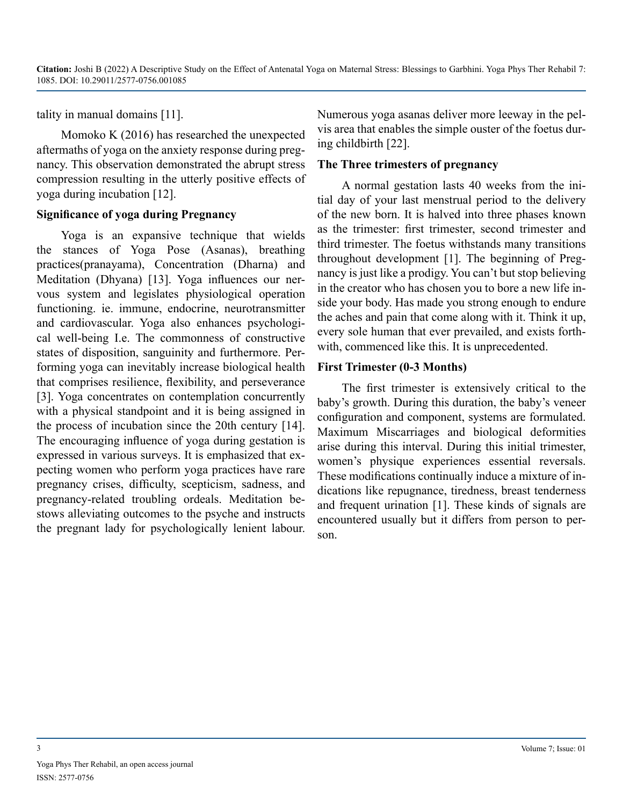tality in manual domains [11].

Momoko K (2016) has researched the unexpected aftermaths of yoga on the anxiety response during pregnancy. This observation demonstrated the abrupt stress compression resulting in the utterly positive effects of yoga during incubation [12].

#### **Significance of yoga during Pregnancy**

Yoga is an expansive technique that wields the stances of Yoga Pose (Asanas), breathing practices(pranayama), Concentration (Dharna) and Meditation (Dhyana) [13]. Yoga influences our nervous system and legislates physiological operation functioning. ie. immune, endocrine, neurotransmitter and cardiovascular. Yoga also enhances psychological well-being I.e. The commonness of constructive states of disposition, sanguinity and furthermore. Performing yoga can inevitably increase biological health that comprises resilience, flexibility, and perseverance [3]. Yoga concentrates on contemplation concurrently with a physical standpoint and it is being assigned in the process of incubation since the 20th century [14]. The encouraging influence of yoga during gestation is expressed in various surveys. It is emphasized that expecting women who perform yoga practices have rare pregnancy crises, difficulty, scepticism, sadness, and pregnancy-related troubling ordeals. Meditation bestows alleviating outcomes to the psyche and instructs the pregnant lady for psychologically lenient labour. Numerous yoga asanas deliver more leeway in the pelvis area that enables the simple ouster of the foetus during childbirth [22].

#### **The Three trimesters of pregnancy**

A normal gestation lasts 40 weeks from the initial day of your last menstrual period to the delivery of the new born. It is halved into three phases known as the trimester: first trimester, second trimester and third trimester. The foetus withstands many transitions throughout development [1]. The beginning of Pregnancy is just like a prodigy. You can't but stop believing in the creator who has chosen you to bore a new life inside your body. Has made you strong enough to endure the aches and pain that come along with it. Think it up, every sole human that ever prevailed, and exists forthwith, commenced like this. It is unprecedented.

#### **First Trimester (0-3 Months)**

The first trimester is extensively critical to the baby's growth. During this duration, the baby's veneer configuration and component, systems are formulated. Maximum Miscarriages and biological deformities arise during this interval. During this initial trimester, women's physique experiences essential reversals. These modifications continually induce a mixture of indications like repugnance, tiredness, breast tenderness and frequent urination [1]. These kinds of signals are encountered usually but it differs from person to person.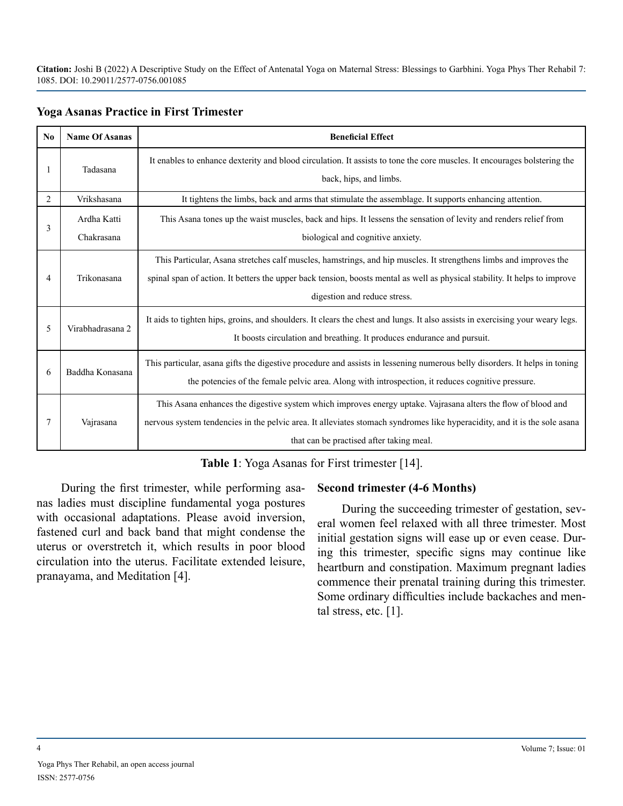| $\mathbf{N}\mathbf{0}$ | <b>Name Of Asanas</b>     | <b>Beneficial Effect</b>                                                                                                                                                                                                                                                               |
|------------------------|---------------------------|----------------------------------------------------------------------------------------------------------------------------------------------------------------------------------------------------------------------------------------------------------------------------------------|
| 1                      | Tadasana                  | It enables to enhance dexterity and blood circulation. It assists to tone the core muscles. It encourages bolstering the<br>back, hips, and limbs.                                                                                                                                     |
| $\overline{2}$         | Vrikshasana               | It tightens the limbs, back and arms that stimulate the assemblage. It supports enhancing attention.                                                                                                                                                                                   |
| 3                      | Ardha Katti<br>Chakrasana | This Asana tones up the waist muscles, back and hips. It lessens the sensation of levity and renders relief from<br>biological and cognitive anxiety.                                                                                                                                  |
| 4                      | Trikonasana               | This Particular, Asana stretches calf muscles, hamstrings, and hip muscles. It strengthens limbs and improves the<br>spinal span of action. It betters the upper back tension, boosts mental as well as physical stability. It helps to improve<br>digestion and reduce stress.        |
| 5                      | Virabhadrasana 2          | It aids to tighten hips, groins, and shoulders. It clears the chest and lungs. It also assists in exercising your weary legs.<br>It boosts circulation and breathing. It produces endurance and pursuit.                                                                               |
| 6                      | Baddha Konasana           | This particular, asana gifts the digestive procedure and assists in lessening numerous belly disorders. It helps in toning<br>the potencies of the female pelvic area. Along with introspection, it reduces cognitive pressure.                                                        |
| 7                      | Vajrasana                 | This Asana enhances the digestive system which improves energy uptake. Vajrasana alters the flow of blood and<br>nervous system tendencies in the pelvic area. It alleviates stomach syndromes like hyperacidity, and it is the sole asana<br>that can be practised after taking meal. |

#### **Table 1**: Yoga Asanas for First trimester [14].

During the first trimester, while performing asanas ladies must discipline fundamental yoga postures with occasional adaptations. Please avoid inversion, fastened curl and back band that might condense the uterus or overstretch it, which results in poor blood circulation into the uterus. Facilitate extended leisure, pranayama, and Meditation [4].

#### **Second trimester (4-6 Months)**

During the succeeding trimester of gestation, several women feel relaxed with all three trimester. Most initial gestation signs will ease up or even cease. During this trimester, specific signs may continue like heartburn and constipation. Maximum pregnant ladies commence their prenatal training during this trimester. Some ordinary difficulties include backaches and mental stress, etc. [1].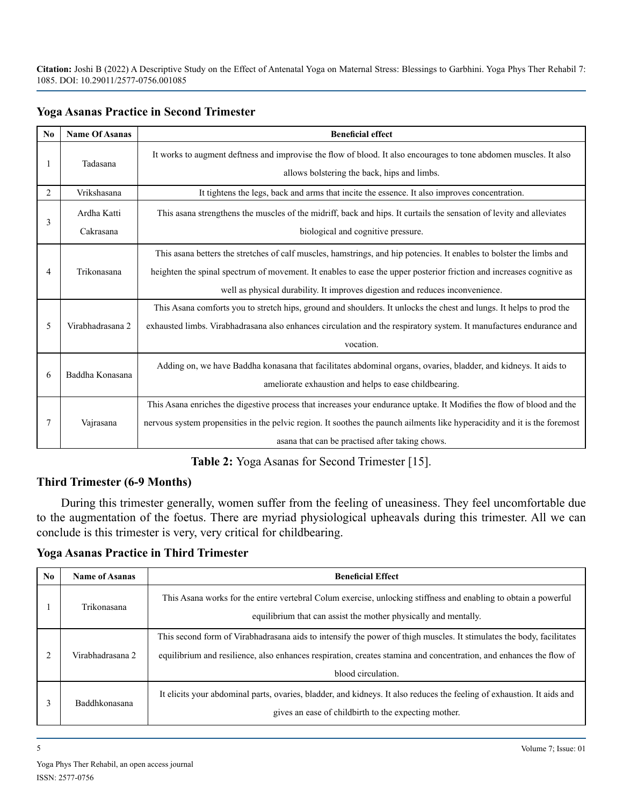| No             | <b>Name Of Asanas</b>    | <b>Beneficial effect</b>                                                                                                                                                                                                                                                                                                      |
|----------------|--------------------------|-------------------------------------------------------------------------------------------------------------------------------------------------------------------------------------------------------------------------------------------------------------------------------------------------------------------------------|
| 1              | Tadasana                 | It works to augment deftness and improvise the flow of blood. It also encourages to tone abdomen muscles. It also<br>allows bolstering the back, hips and limbs.                                                                                                                                                              |
| $\overline{2}$ | Vrikshasana              | It tightens the legs, back and arms that incite the essence. It also improves concentration.                                                                                                                                                                                                                                  |
| 3              | Ardha Katti<br>Cakrasana | This asana strengthens the muscles of the midriff, back and hips. It curtails the sensation of levity and alleviates<br>biological and cognitive pressure.                                                                                                                                                                    |
| 4              | Trikonasana              | This asana betters the stretches of calf muscles, hamstrings, and hip potencies. It enables to bolster the limbs and<br>heighten the spinal spectrum of movement. It enables to ease the upper posterior friction and increases cognitive as<br>well as physical durability. It improves digestion and reduces inconvenience. |
| 5              | Virabhadrasana 2         | This Asana comforts you to stretch hips, ground and shoulders. It unlocks the chest and lungs. It helps to prod the<br>exhausted limbs. Virabhadrasana also enhances circulation and the respiratory system. It manufactures endurance and<br>vocation.                                                                       |
| 6              | Baddha Konasana          | Adding on, we have Baddha konasana that facilitates abdominal organs, ovaries, bladder, and kidneys. It aids to<br>ameliorate exhaustion and helps to ease childbearing.                                                                                                                                                      |
| 7              | Vajrasana                | This Asana enriches the digestive process that increases your endurance uptake. It Modifies the flow of blood and the<br>nervous system propensities in the pelvic region. It soothes the paunch ailments like hyperacidity and it is the foremost<br>asana that can be practised after taking chows.                         |

#### **Yoga Asanas Practice in Second Trimester**

**Table 2:** Yoga Asanas for Second Trimester [15].

#### **Third Trimester (6-9 Months)**

During this trimester generally, women suffer from the feeling of uneasiness. They feel uncomfortable due to the augmentation of the foetus. There are myriad physiological upheavals during this trimester. All we can conclude is this trimester is very, very critical for childbearing.

**Yoga Asanas Practice in Third Trimester** 

| No. | <b>Name of Asanas</b> | <b>Beneficial Effect</b>                                                                                                                                                                                                                                         |
|-----|-----------------------|------------------------------------------------------------------------------------------------------------------------------------------------------------------------------------------------------------------------------------------------------------------|
|     | Trikonasana           | This Asana works for the entire vertebral Colum exercise, unlocking stiffness and enabling to obtain a powerful<br>equilibrium that can assist the mother physically and mentally.                                                                               |
|     | Virabhadrasana 2      | This second form of Virabhadrasana aids to intensify the power of thigh muscles. It stimulates the body, facilitates<br>equilibrium and resilience, also enhances respiration, creates stamina and concentration, and enhances the flow of<br>blood circulation. |
| 3   | <b>Baddhkonasana</b>  | It elicits your abdominal parts, ovaries, bladder, and kidneys. It also reduces the feeling of exhaustion. It aids and<br>gives an ease of child birth to the expecting mother.                                                                                  |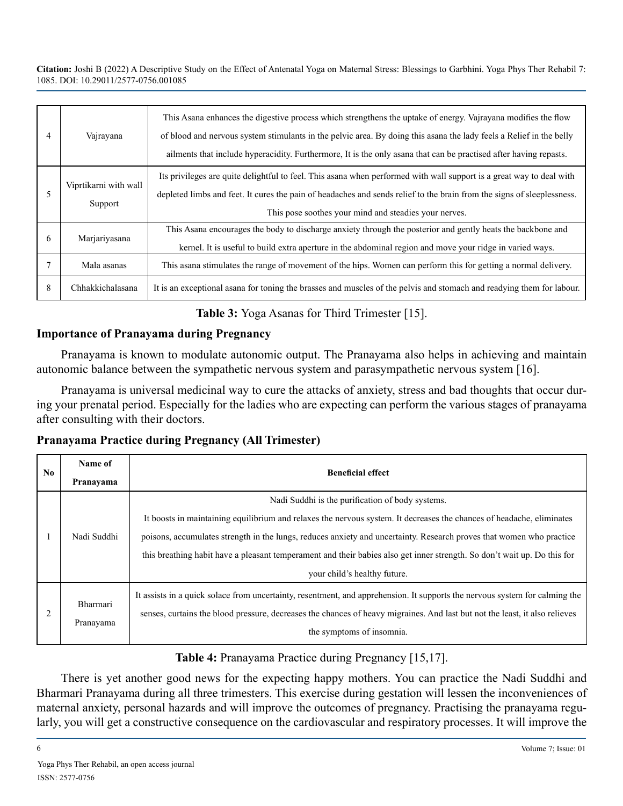| 4 | Vajrayana                        | This Asana enhances the digestive process which strengthens the uptake of energy. Vajrayana modifies the flow<br>of blood and nervous system stimulants in the pelvic area. By doing this as an a the lady feels a Relief in the belly<br>ailments that include hyperacidity. Furthermore, It is the only as a that can be practised after having repasts. |
|---|----------------------------------|------------------------------------------------------------------------------------------------------------------------------------------------------------------------------------------------------------------------------------------------------------------------------------------------------------------------------------------------------------|
|   | Viprtikarni with wall<br>Support | Its privileges are quite delightful to feel. This asana when performed with wall support is a great way to deal with<br>depleted limbs and feet. It cures the pain of headaches and sends relief to the brain from the signs of sleeplessness.<br>This pose soothes your mind and steadies your nerves.                                                    |
| 6 | Marjariyasana                    | This Asana encourages the body to discharge anxiety through the posterior and gently heats the backbone and<br>kernel. It is useful to build extra aperture in the abdominal region and move your ridge in varied ways.                                                                                                                                    |
|   | Mala asanas                      | This as a stimulates the range of movement of the hips. Women can perform this for getting a normal delivery.                                                                                                                                                                                                                                              |
| 8 | Chhakkichalasana                 | It is an exceptional as a for toning the brasses and muscles of the pelvis and stomach and readying them for labour.                                                                                                                                                                                                                                       |

**Table 3:** Yoga Asanas for Third Trimester [15].

#### **Importance of Pranayama during Pregnancy**

Pranayama is known to modulate autonomic output. The Pranayama also helps in achieving and maintain autonomic balance between the sympathetic nervous system and parasympathetic nervous system [16].

Pranayama is universal medicinal way to cure the attacks of anxiety, stress and bad thoughts that occur during your prenatal period. Especially for the ladies who are expecting can perform the various stages of pranayama after consulting with their doctors.

#### **Pranayama Practice during Pregnancy (All Trimester)**

| $\bf No$ | Name of<br>Pranayama  | <b>Beneficial effect</b>                                                                                                                                                                                                                                                                                                                                                                                                                                      |
|----------|-----------------------|---------------------------------------------------------------------------------------------------------------------------------------------------------------------------------------------------------------------------------------------------------------------------------------------------------------------------------------------------------------------------------------------------------------------------------------------------------------|
|          | Nadi Suddhi           | Nadi Suddhi is the purification of body systems.<br>It boosts in maintaining equilibrium and relaxes the nervous system. It decreases the chances of headache, eliminates<br>poisons, accumulates strength in the lungs, reduces anxiety and uncertainty. Research proves that women who practice<br>this breathing habit have a pleasant temperament and their babies also get inner strength. So don't wait up. Do this for<br>your child's healthy future. |
|          | Bharmari<br>Pranayama | It assists in a quick solace from uncertainty, resentment, and apprehension. It supports the nervous system for calming the<br>senses, curtains the blood pressure, decreases the chances of heavy migraines. And last but not the least, it also relieves<br>the symptoms of insomnia.                                                                                                                                                                       |

## **Table 4:** Pranayama Practice during Pregnancy [15,17].

There is yet another good news for the expecting happy mothers. You can practice the Nadi Suddhi and Bharmari Pranayama during all three trimesters. This exercise during gestation will lessen the inconveniences of maternal anxiety, personal hazards and will improve the outcomes of pregnancy. Practising the pranayama regularly, you will get a constructive consequence on the cardiovascular and respiratory processes. It will improve the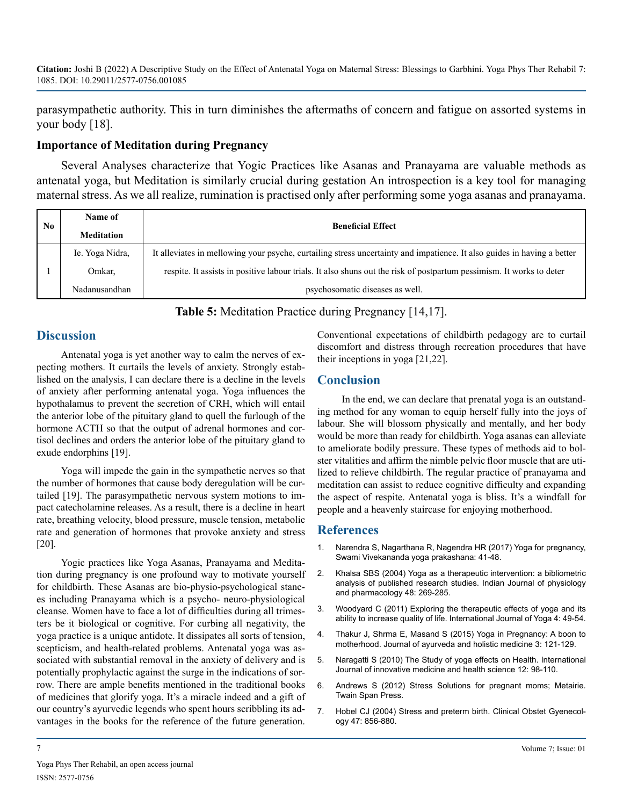parasympathetic authority. This in turn diminishes the aftermaths of concern and fatigue on assorted systems in your body [18].

## **Importance of Meditation during Pregnancy**

Several Analyses characterize that Yogic Practices like Asanas and Pranayama are valuable methods as antenatal yoga, but Meditation is similarly crucial during gestation An introspection is a key tool for managing maternal stress. As we all realize, rumination is practised only after performing some yoga asanas and pranayama.

| No | Name of           | <b>Beneficial Effect</b>                                                                                                |
|----|-------------------|-------------------------------------------------------------------------------------------------------------------------|
|    | <b>Meditation</b> |                                                                                                                         |
|    | Ie. Yoga Nidra,   | It alleviates in mellowing your psyche, curtailing stress uncertainty and impatience. It also guides in having a better |
|    | Omkar.            | respite. It assists in positive labour trials. It also shuns out the risk of postpartum pessimism. It works to deter    |
|    | Nadanusandhan     | psychosomatic diseases as well.                                                                                         |

**Table 5:** Meditation Practice during Pregnancy [14,17].

# **Discussion**

Antenatal yoga is yet another way to calm the nerves of expecting mothers. It curtails the levels of anxiety. Strongly established on the analysis, I can declare there is a decline in the levels of anxiety after performing antenatal yoga. Yoga influences the hypothalamus to prevent the secretion of CRH, which will entail the anterior lobe of the pituitary gland to quell the furlough of the hormone ACTH so that the output of adrenal hormones and cortisol declines and orders the anterior lobe of the pituitary gland to exude endorphins [19].

Yoga will impede the gain in the sympathetic nerves so that the number of hormones that cause body deregulation will be curtailed [19]. The parasympathetic nervous system motions to impact catecholamine releases. As a result, there is a decline in heart rate, breathing velocity, blood pressure, muscle tension, metabolic rate and generation of hormones that provoke anxiety and stress [20].

Yogic practices like Yoga Asanas, Pranayama and Meditation during pregnancy is one profound way to motivate yourself for childbirth. These Asanas are bio-physio-psychological stances including Pranayama which is a psycho- neuro-physiological cleanse. Women have to face a lot of difficulties during all trimesters be it biological or cognitive. For curbing all negativity, the yoga practice is a unique antidote. It dissipates all sorts of tension, scepticism, and health-related problems. Antenatal yoga was associated with substantial removal in the anxiety of delivery and is potentially prophylactic against the surge in the indications of sorrow. There are ample benefits mentioned in the traditional books of medicines that glorify yoga. It's a miracle indeed and a gift of our country's ayurvedic legends who spent hours scribbling its advantages in the books for the reference of the future generation.

Conventional expectations of childbirth pedagogy are to curtail discomfort and distress through recreation procedures that have their inceptions in yoga [21,22].

## **Conclusion**

In the end, we can declare that prenatal yoga is an outstanding method for any woman to equip herself fully into the joys of labour. She will blossom physically and mentally, and her body would be more than ready for childbirth. Yoga asanas can alleviate to ameliorate bodily pressure. These types of methods aid to bolster vitalities and affirm the nimble pelvic floor muscle that are utilized to relieve childbirth. The regular practice of pranayama and meditation can assist to reduce cognitive difficulty and expanding the aspect of respite. Antenatal yoga is bliss. It's a windfall for people and a heavenly staircase for enjoying motherhood.

## **References**

- 1. Narendra S, Nagarthana R, Nagendra HR (2017) Yoga for pregnancy, Swami Vivekananda yoga prakashana: 41-48.
- 2. [Khalsa SBS \(2004\) Yoga as a therapeutic intervention: a bibliometric](https://pubmed.ncbi.nlm.nih.gov/15648399/)  [analysis of published research studies. Indian Journal of physiology](https://pubmed.ncbi.nlm.nih.gov/15648399/)  [and pharmacology 48: 269-285.](https://pubmed.ncbi.nlm.nih.gov/15648399/)
- 3. [Woodyard C \(2011\) Exploring the therapeutic effects of yoga and its](https://www.ncbi.nlm.nih.gov/pmc/articles/PMC3193654/)  [ability to increase quality of life. International Journal of Yoga 4: 49-54.](https://www.ncbi.nlm.nih.gov/pmc/articles/PMC3193654/)
- 4. [Thakur J, Shrma E, Masand S \(2015\) Yoga in Pregnancy: A boon to](https://www.researchgate.net/publication/323377173_YOGA_IN_PREGNANCY_A_BOON_TO_MOTHERHOOD)  [motherhood. Journal of ayurveda and holistic medicine 3: 121-129.](https://www.researchgate.net/publication/323377173_YOGA_IN_PREGNANCY_A_BOON_TO_MOTHERHOOD)
- 5. [Naragatti S \(2010\) The Study of yoga effects on Health. International](https://www.researchgate.net/publication/341026497_The_Study_of_Yoga_Effects_on_Health)  [Journal of innovative medicine and health science 12: 98-110](https://www.researchgate.net/publication/341026497_The_Study_of_Yoga_Effects_on_Health).
- 6. Andrews S (2012) Stress Solutions for pregnant moms; Metairie. Twain Span Press.
- 7. [Hobel CJ \(2004\) Stress and preterm birth. Clinical Obstet Gyenecol](https://pubmed.ncbi.nlm.nih.gov/15596939/)[ogy 47: 856-880.](https://pubmed.ncbi.nlm.nih.gov/15596939/)